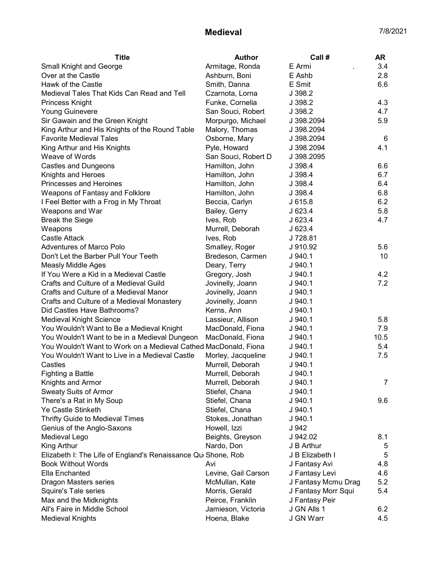## **Medieval** 7/8/2021

| Armitage, Ronda<br>E Armi<br><b>Small Knight and George</b>                       | 3.4  |
|-----------------------------------------------------------------------------------|------|
| Over at the Castle<br>E Ashb<br>Ashburn, Boni                                     | 2.8  |
| Hawk of the Castle<br>Smith, Danna<br>E Smit                                      | 6.6  |
| Medieval Tales That Kids Can Read and Tell<br>J 398.2<br>Czarnota, Lorna          |      |
| J 398.2<br><b>Princess Knight</b><br>Funke, Cornelia                              | 4.3  |
| <b>Young Guinevere</b><br>San Souci, Robert<br>J 398.2                            | 4.7  |
| Sir Gawain and the Green Knight<br>J 398.2094<br>Morpurgo, Michael                | 5.9  |
| King Arthur and His Knights of the Round Table<br>Malory, Thomas<br>J 398.2094    |      |
| <b>Favorite Medieval Tales</b><br>Osborne, Mary<br>J 398.2094                     | 6    |
| King Arthur and His Knights<br>Pyle, Howard<br>J 398.2094                         | 4.1  |
| Weave of Words<br>San Souci, Robert D<br>J 398.2095                               |      |
| <b>Castles and Dungeons</b><br>Hamilton, John<br>J 398.4                          | 6.6  |
| Knights and Heroes<br>Hamilton, John<br>J 398.4                                   | 6.7  |
| <b>Princesses and Heroines</b><br>Hamilton, John<br>J 398.4                       | 6.4  |
| Weapons of Fantasy and Folklore<br>Hamilton, John<br>J 398.4                      | 6.8  |
| Beccia, Carlyn<br>I Feel Better with a Frog in My Throat<br>J615.8                | 6.2  |
| Bailey, Gerry<br>Weapons and War<br>J623.4                                        | 5.8  |
| <b>Break the Siege</b><br>J 623.4<br>Ives, Rob                                    | 4.7  |
| J 623.4<br>Weapons<br>Murrell, Deborah                                            |      |
| <b>Castle Attack</b><br>J 728.81<br>Ives, Rob                                     |      |
| <b>Adventures of Marco Polo</b><br>Smalley, Roger<br>J 910.92                     | 5.6  |
| Don't Let the Barber Pull Your Teeth<br>Bredeson, Carmen<br>J.940.1               | 10   |
| <b>Measly Middle Ages</b><br>Deary, Terry<br>J.940.1                              |      |
| If You Were a Kid in a Medieval Castle<br>Gregory, Josh<br>J.940.1                | 4.2  |
| Crafts and Culture of a Medieval Guild<br>Jovinelly, Joann<br>J.940.1             | 7.2  |
| Crafts and Culture of a Medieval Manor<br>Jovinelly, Joann<br>J.940.1             |      |
| Crafts and Culture of a Medieval Monastery<br>Jovinelly, Joann<br>J.940.1         |      |
| Did Castles Have Bathrooms?<br>Kerns, Ann<br>J.940.1                              |      |
| Lassieur, Allison<br>Medieval Knight Science<br>J.940.1                           | 5.8  |
| You Wouldn't Want to Be a Medieval Knight<br>MacDonald, Fiona<br>J.940.1          | 7.9  |
| You Wouldn't Want to be in a Medieval Dungeon<br>MacDonald, Fiona<br>J.940.1      | 10.5 |
| You Wouldn't Want to Work on a Medieval Cathed MacDonald, Fiona<br>$J$ 940.1      | 5.4  |
| You Wouldn't Want to Live in a Medieval Castle<br>Morley, Jacqueline<br>$J$ 940.1 | 7.5  |
| Murrell, Deborah<br>Castles<br>J.940.1                                            |      |
| Murrell, Deborah<br>Fighting a Battle<br>$J$ 940.1                                |      |
| J 940.1<br>Knights and Armor<br>Murrell, Deborah                                  |      |
| <b>Sweaty Suits of Armor</b><br>Stiefel, Chana<br>J940.1                          |      |
| There's a Rat in My Soup<br>Stiefel, Chana<br>$J$ 940.1                           | 9.6  |
| <b>Ye Castle Stinketh</b><br>Stiefel, Chana<br>J.940.1                            |      |
| <b>Thrifty Guide to Medieval Times</b><br>Stokes, Jonathan<br>J.940.1             |      |
| Genius of the Anglo-Saxons<br>Howell, Izzi<br>J 942                               |      |
| J 942.02<br>Medieval Lego<br>Beights, Greyson                                     | 8.1  |
| King Arthur<br>Nardo, Don<br>J B Arthur                                           | 5    |
| Elizabeth I: The Life of England's Renaissance Que Shone, Rob<br>J B Elizabeth I  | 5    |
| <b>Book Without Words</b><br>Avi<br>J Fantasy Avi                                 | 4.8  |
| Ella Enchanted<br>Levine, Gail Carson<br>J Fantasy Levi                           | 4.6  |
| Dragon Masters series<br>McMullan, Kate<br>J Fantasy Mcmu Drag                    | 5.2  |
| Morris, Gerald<br>J Fantasy Morr Squi<br>Squire's Tale series                     | 5.4  |
| J Fantasy Peir<br>Max and the Midknights<br>Peirce, Franklin                      |      |
| All's Faire in Middle School<br>J GN Alls 1<br>Jamieson, Victoria                 | 6.2  |
| J GN Warr<br><b>Medieval Knights</b><br>Hoena, Blake                              | 4.5  |